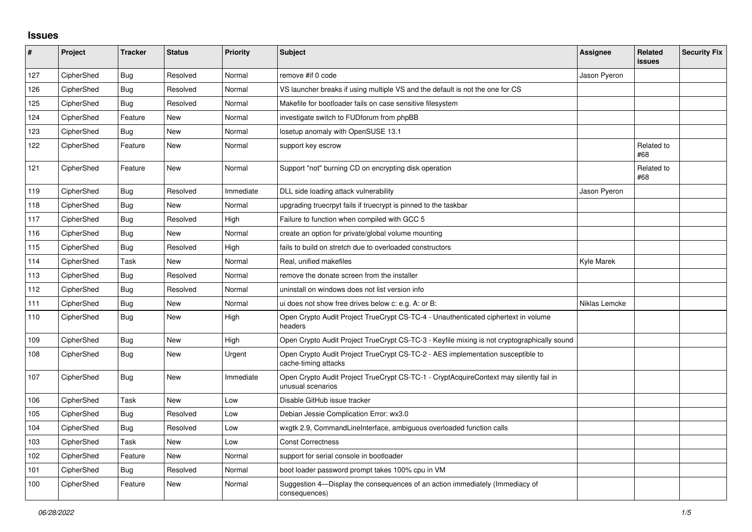## **Issues**

| $\pmb{\#}$ | Project    | <b>Tracker</b> | <b>Status</b> | Priority  | <b>Subject</b>                                                                                              | <b>Assignee</b> | Related<br><b>issues</b> | <b>Security Fix</b> |
|------------|------------|----------------|---------------|-----------|-------------------------------------------------------------------------------------------------------------|-----------------|--------------------------|---------------------|
| 127        | CipherShed | <b>Bug</b>     | Resolved      | Normal    | remove #if 0 code                                                                                           | Jason Pyeron    |                          |                     |
| 126        | CipherShed | Bug            | Resolved      | Normal    | VS launcher breaks if using multiple VS and the default is not the one for CS                               |                 |                          |                     |
| 125        | CipherShed | <b>Bug</b>     | Resolved      | Normal    | Makefile for bootloader fails on case sensitive filesystem                                                  |                 |                          |                     |
| 124        | CipherShed | Feature        | New           | Normal    | investigate switch to FUDforum from phpBB                                                                   |                 |                          |                     |
| 123        | CipherShed | <b>Bug</b>     | New           | Normal    | losetup anomaly with OpenSUSE 13.1                                                                          |                 |                          |                     |
| 122        | CipherShed | Feature        | <b>New</b>    | Normal    | support key escrow                                                                                          |                 | Related to<br>#68        |                     |
| 121        | CipherShed | Feature        | <b>New</b>    | Normal    | Support "not" burning CD on encrypting disk operation                                                       |                 | Related to<br>#68        |                     |
| 119        | CipherShed | <b>Bug</b>     | Resolved      | Immediate | DLL side loading attack vulnerability                                                                       | Jason Pyeron    |                          |                     |
| 118        | CipherShed | <b>Bug</b>     | <b>New</b>    | Normal    | upgrading truecrpyt fails if truecrypt is pinned to the taskbar                                             |                 |                          |                     |
| 117        | CipherShed | Bug            | Resolved      | High      | Failure to function when compiled with GCC 5                                                                |                 |                          |                     |
| 116        | CipherShed | Bug            | <b>New</b>    | Normal    | create an option for private/global volume mounting                                                         |                 |                          |                     |
| 115        | CipherShed | <b>Bug</b>     | Resolved      | High      | fails to build on stretch due to overloaded constructors                                                    |                 |                          |                     |
| 114        | CipherShed | Task           | New           | Normal    | Real, unified makefiles                                                                                     | Kyle Marek      |                          |                     |
| 113        | CipherShed | Bug            | Resolved      | Normal    | remove the donate screen from the installer                                                                 |                 |                          |                     |
| 112        | CipherShed | <b>Bug</b>     | Resolved      | Normal    | uninstall on windows does not list version info                                                             |                 |                          |                     |
| 111        | CipherShed | <b>Bug</b>     | <b>New</b>    | Normal    | ui does not show free drives below c: e.g. A: or B:                                                         | Niklas Lemcke   |                          |                     |
| 110        | CipherShed | Bug            | New           | High      | Open Crypto Audit Project TrueCrypt CS-TC-4 - Unauthenticated ciphertext in volume<br>headers               |                 |                          |                     |
| 109        | CipherShed | <b>Bug</b>     | <b>New</b>    | High      | Open Crypto Audit Project TrueCrypt CS-TC-3 - Keyfile mixing is not cryptographically sound                 |                 |                          |                     |
| 108        | CipherShed | Bug            | New           | Urgent    | Open Crypto Audit Project TrueCrypt CS-TC-2 - AES implementation susceptible to<br>cache-timing attacks     |                 |                          |                     |
| 107        | CipherShed | <b>Bug</b>     | <b>New</b>    | Immediate | Open Crypto Audit Project TrueCrypt CS-TC-1 - CryptAcquireContext may silently fail in<br>unusual scenarios |                 |                          |                     |
| 106        | CipherShed | Task           | <b>New</b>    | Low       | Disable GitHub issue tracker                                                                                |                 |                          |                     |
| 105        | CipherShed | <b>Bug</b>     | Resolved      | Low       | Debian Jessie Complication Error: wx3.0                                                                     |                 |                          |                     |
| 104        | CipherShed | Bug            | Resolved      | Low       | wxgtk 2.9, CommandLineInterface, ambiguous overloaded function calls                                        |                 |                          |                     |
| 103        | CipherShed | Task           | <b>New</b>    | Low       | <b>Const Correctness</b>                                                                                    |                 |                          |                     |
| 102        | CipherShed | Feature        | <b>New</b>    | Normal    | support for serial console in bootloader                                                                    |                 |                          |                     |
| 101        | CipherShed | Bug            | Resolved      | Normal    | boot loader password prompt takes 100% cpu in VM                                                            |                 |                          |                     |
| 100        | CipherShed | Feature        | <b>New</b>    | Normal    | Suggestion 4-Display the consequences of an action immediately (Immediacy of<br>consequences)               |                 |                          |                     |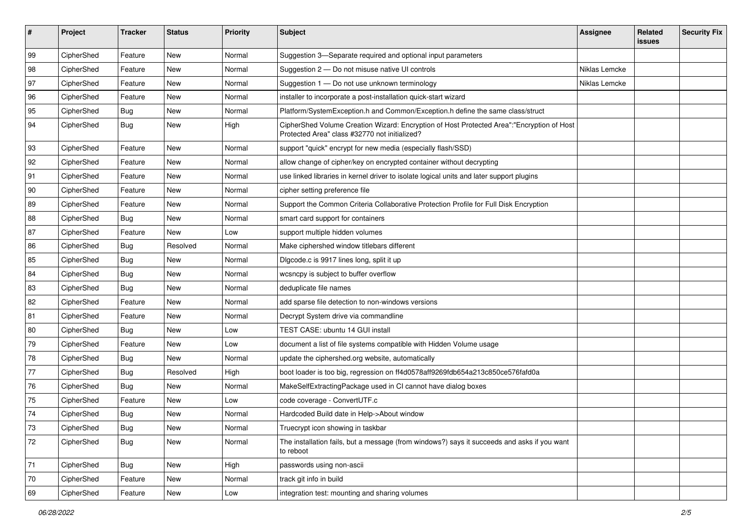| #  | Project    | <b>Tracker</b> | <b>Status</b> | <b>Priority</b> | <b>Subject</b>                                                                                                                             | <b>Assignee</b> | Related<br><b>issues</b> | <b>Security Fix</b> |
|----|------------|----------------|---------------|-----------------|--------------------------------------------------------------------------------------------------------------------------------------------|-----------------|--------------------------|---------------------|
| 99 | CipherShed | Feature        | New           | Normal          | Suggestion 3-Separate required and optional input parameters                                                                               |                 |                          |                     |
| 98 | CipherShed | Feature        | New           | Normal          | Suggestion 2 - Do not misuse native UI controls                                                                                            | Niklas Lemcke   |                          |                     |
| 97 | CipherShed | Feature        | New           | Normal          | Suggestion 1 - Do not use unknown terminology                                                                                              | Niklas Lemcke   |                          |                     |
| 96 | CipherShed | Feature        | New           | Normal          | installer to incorporate a post-installation quick-start wizard                                                                            |                 |                          |                     |
| 95 | CipherShed | <b>Bug</b>     | New           | Normal          | Platform/SystemException.h and Common/Exception.h define the same class/struct                                                             |                 |                          |                     |
| 94 | CipherShed | <b>Bug</b>     | New           | High            | CipherShed Volume Creation Wizard: Encryption of Host Protected Area":"Encryption of Host<br>Protected Area" class #32770 not initialized? |                 |                          |                     |
| 93 | CipherShed | Feature        | New           | Normal          | support "quick" encrypt for new media (especially flash/SSD)                                                                               |                 |                          |                     |
| 92 | CipherShed | Feature        | New           | Normal          | allow change of cipher/key on encrypted container without decrypting                                                                       |                 |                          |                     |
| 91 | CipherShed | Feature        | New           | Normal          | use linked libraries in kernel driver to isolate logical units and later support plugins                                                   |                 |                          |                     |
| 90 | CipherShed | Feature        | New           | Normal          | cipher setting preference file                                                                                                             |                 |                          |                     |
| 89 | CipherShed | Feature        | New           | Normal          | Support the Common Criteria Collaborative Protection Profile for Full Disk Encryption                                                      |                 |                          |                     |
| 88 | CipherShed | <b>Bug</b>     | New           | Normal          | smart card support for containers                                                                                                          |                 |                          |                     |
| 87 | CipherShed | Feature        | <b>New</b>    | Low             | support multiple hidden volumes                                                                                                            |                 |                          |                     |
| 86 | CipherShed | <b>Bug</b>     | Resolved      | Normal          | Make ciphershed window titlebars different                                                                                                 |                 |                          |                     |
| 85 | CipherShed | <b>Bug</b>     | New           | Normal          | Digcode.c is 9917 lines long, split it up                                                                                                  |                 |                          |                     |
| 84 | CipherShed | <b>Bug</b>     | <b>New</b>    | Normal          | wcsncpy is subject to buffer overflow                                                                                                      |                 |                          |                     |
| 83 | CipherShed | <b>Bug</b>     | New           | Normal          | deduplicate file names                                                                                                                     |                 |                          |                     |
| 82 | CipherShed | Feature        | New           | Normal          | add sparse file detection to non-windows versions                                                                                          |                 |                          |                     |
| 81 | CipherShed | Feature        | New           | Normal          | Decrypt System drive via commandline                                                                                                       |                 |                          |                     |
| 80 | CipherShed | <b>Bug</b>     | New           | Low             | TEST CASE: ubuntu 14 GUI install                                                                                                           |                 |                          |                     |
| 79 | CipherShed | Feature        | <b>New</b>    | Low             | document a list of file systems compatible with Hidden Volume usage                                                                        |                 |                          |                     |
| 78 | CipherShed | <b>Bug</b>     | <b>New</b>    | Normal          | update the ciphershed.org website, automatically                                                                                           |                 |                          |                     |
| 77 | CipherShed | <b>Bug</b>     | Resolved      | High            | boot loader is too big, regression on ff4d0578aff9269fdb654a213c850ce576fafd0a                                                             |                 |                          |                     |
| 76 | CipherShed | <b>Bug</b>     | New           | Normal          | MakeSelfExtractingPackage used in CI cannot have dialog boxes                                                                              |                 |                          |                     |
| 75 | CipherShed | Feature        | New           | Low             | code coverage - ConvertUTF.c                                                                                                               |                 |                          |                     |
| 74 | CipherShed | Bug            | New           | Normal          | Hardcoded Build date in Help->About window                                                                                                 |                 |                          |                     |
| 73 | CipherShed | Bug            | New           | Normal          | Truecrypt icon showing in taskbar                                                                                                          |                 |                          |                     |
| 72 | CipherShed | Bug            | New           | Normal          | The installation fails, but a message (from windows?) says it succeeds and asks if you want<br>to reboot                                   |                 |                          |                     |
| 71 | CipherShed | <b>Bug</b>     | New           | High            | passwords using non-ascii                                                                                                                  |                 |                          |                     |
| 70 | CipherShed | Feature        | New           | Normal          | track git info in build                                                                                                                    |                 |                          |                     |
| 69 | CipherShed | Feature        | New           | Low             | integration test: mounting and sharing volumes                                                                                             |                 |                          |                     |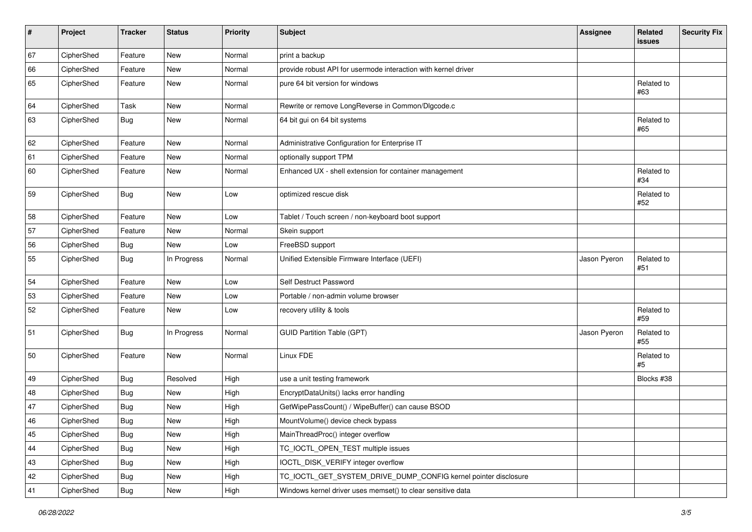| #  | Project    | <b>Tracker</b> | <b>Status</b> | <b>Priority</b> | <b>Subject</b>                                                  | <b>Assignee</b> | Related<br><b>issues</b> | <b>Security Fix</b> |
|----|------------|----------------|---------------|-----------------|-----------------------------------------------------------------|-----------------|--------------------------|---------------------|
| 67 | CipherShed | Feature        | <b>New</b>    | Normal          | print a backup                                                  |                 |                          |                     |
| 66 | CipherShed | Feature        | <b>New</b>    | Normal          | provide robust API for usermode interaction with kernel driver  |                 |                          |                     |
| 65 | CipherShed | Feature        | New           | Normal          | pure 64 bit version for windows                                 |                 | Related to<br>#63        |                     |
| 64 | CipherShed | Task           | <b>New</b>    | Normal          | Rewrite or remove LongReverse in Common/Dlgcode.c               |                 |                          |                     |
| 63 | CipherShed | <b>Bug</b>     | <b>New</b>    | Normal          | 64 bit gui on 64 bit systems                                    |                 | Related to<br>#65        |                     |
| 62 | CipherShed | Feature        | <b>New</b>    | Normal          | Administrative Configuration for Enterprise IT                  |                 |                          |                     |
| 61 | CipherShed | Feature        | <b>New</b>    | Normal          | optionally support TPM                                          |                 |                          |                     |
| 60 | CipherShed | Feature        | <b>New</b>    | Normal          | Enhanced UX - shell extension for container management          |                 | Related to<br>#34        |                     |
| 59 | CipherShed | <b>Bug</b>     | New           | Low             | optimized rescue disk                                           |                 | Related to<br>#52        |                     |
| 58 | CipherShed | Feature        | <b>New</b>    | Low             | Tablet / Touch screen / non-keyboard boot support               |                 |                          |                     |
| 57 | CipherShed | Feature        | <b>New</b>    | Normal          | Skein support                                                   |                 |                          |                     |
| 56 | CipherShed | <b>Bug</b>     | <b>New</b>    | Low             | FreeBSD support                                                 |                 |                          |                     |
| 55 | CipherShed | <b>Bug</b>     | In Progress   | Normal          | Unified Extensible Firmware Interface (UEFI)                    | Jason Pyeron    | Related to<br>#51        |                     |
| 54 | CipherShed | Feature        | <b>New</b>    | Low             | Self Destruct Password                                          |                 |                          |                     |
| 53 | CipherShed | Feature        | <b>New</b>    | Low             | Portable / non-admin volume browser                             |                 |                          |                     |
| 52 | CipherShed | Feature        | New           | Low             | recovery utility & tools                                        |                 | Related to<br>#59        |                     |
| 51 | CipherShed | Bug            | In Progress   | Normal          | <b>GUID Partition Table (GPT)</b>                               | Jason Pyeron    | Related to<br>#55        |                     |
| 50 | CipherShed | Feature        | <b>New</b>    | Normal          | Linux FDE                                                       |                 | Related to<br>#5         |                     |
| 49 | CipherShed | <b>Bug</b>     | Resolved      | High            | use a unit testing framework                                    |                 | Blocks #38               |                     |
| 48 | CipherShed | <b>Bug</b>     | <b>New</b>    | High            | EncryptDataUnits() lacks error handling                         |                 |                          |                     |
| 47 | CipherShed | <b>Bug</b>     | <b>New</b>    | High            | GetWipePassCount() / WipeBuffer() can cause BSOD                |                 |                          |                     |
| 46 | CipherShed | <b>Bug</b>     | New           | High            | MountVolume() device check bypass                               |                 |                          |                     |
| 45 | CipherShed | <b>Bug</b>     | New           | High            | MainThreadProc() integer overflow                               |                 |                          |                     |
| 44 | CipherShed | <b>Bug</b>     | New           | High            | TC_IOCTL_OPEN_TEST multiple issues                              |                 |                          |                     |
| 43 | CipherShed | <b>Bug</b>     | New           | High            | IOCTL_DISK_VERIFY integer overflow                              |                 |                          |                     |
| 42 | CipherShed | <b>Bug</b>     | New           | High            | TC_IOCTL_GET_SYSTEM_DRIVE_DUMP_CONFIG kernel pointer disclosure |                 |                          |                     |
| 41 | CipherShed | Bug            | New           | High            | Windows kernel driver uses memset() to clear sensitive data     |                 |                          |                     |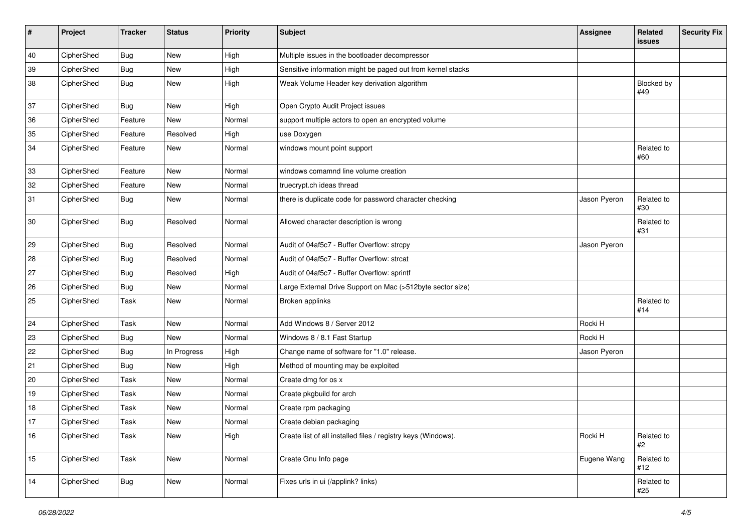| #  | Project    | <b>Tracker</b> | <b>Status</b> | <b>Priority</b> | <b>Subject</b>                                                | <b>Assignee</b> | Related<br>issues | <b>Security Fix</b> |
|----|------------|----------------|---------------|-----------------|---------------------------------------------------------------|-----------------|-------------------|---------------------|
| 40 | CipherShed | <b>Bug</b>     | <b>New</b>    | High            | Multiple issues in the bootloader decompressor                |                 |                   |                     |
| 39 | CipherShed | <b>Bug</b>     | New           | High            | Sensitive information might be paged out from kernel stacks   |                 |                   |                     |
| 38 | CipherShed | <b>Bug</b>     | New           | High            | Weak Volume Header key derivation algorithm                   |                 | Blocked by<br>#49 |                     |
| 37 | CipherShed | Bug            | New           | High            | Open Crypto Audit Project issues                              |                 |                   |                     |
| 36 | CipherShed | Feature        | <b>New</b>    | Normal          | support multiple actors to open an encrypted volume           |                 |                   |                     |
| 35 | CipherShed | Feature        | Resolved      | High            | use Doxygen                                                   |                 |                   |                     |
| 34 | CipherShed | Feature        | New           | Normal          | windows mount point support                                   |                 | Related to<br>#60 |                     |
| 33 | CipherShed | Feature        | New           | Normal          | windows comamnd line volume creation                          |                 |                   |                     |
| 32 | CipherShed | Feature        | New           | Normal          | truecrypt.ch ideas thread                                     |                 |                   |                     |
| 31 | CipherShed | <b>Bug</b>     | New           | Normal          | there is duplicate code for password character checking       | Jason Pyeron    | Related to<br>#30 |                     |
| 30 | CipherShed | <b>Bug</b>     | Resolved      | Normal          | Allowed character description is wrong                        |                 | Related to<br>#31 |                     |
| 29 | CipherShed | <b>Bug</b>     | Resolved      | Normal          | Audit of 04af5c7 - Buffer Overflow: strcpy                    | Jason Pyeron    |                   |                     |
| 28 | CipherShed | <b>Bug</b>     | Resolved      | Normal          | Audit of 04af5c7 - Buffer Overflow: strcat                    |                 |                   |                     |
| 27 | CipherShed | <b>Bug</b>     | Resolved      | High            | Audit of 04af5c7 - Buffer Overflow: sprintf                   |                 |                   |                     |
| 26 | CipherShed | <b>Bug</b>     | New           | Normal          | Large External Drive Support on Mac (>512byte sector size)    |                 |                   |                     |
| 25 | CipherShed | Task           | New           | Normal          | Broken applinks                                               |                 | Related to<br>#14 |                     |
| 24 | CipherShed | Task           | <b>New</b>    | Normal          | Add Windows 8 / Server 2012                                   | Rocki H         |                   |                     |
| 23 | CipherShed | Bug            | New           | Normal          | Windows 8 / 8.1 Fast Startup                                  | Rocki H         |                   |                     |
| 22 | CipherShed | <b>Bug</b>     | In Progress   | High            | Change name of software for "1.0" release.                    | Jason Pyeron    |                   |                     |
| 21 | CipherShed | Bug            | New           | High            | Method of mounting may be exploited                           |                 |                   |                     |
| 20 | CipherShed | Task           | New           | Normal          | Create dmg for os x                                           |                 |                   |                     |
| 19 | CipherShed | Task           | <b>New</b>    | Normal          | Create pkgbuild for arch                                      |                 |                   |                     |
| 18 | CipherShed | Task           | New           | Normal          | Create rpm packaging                                          |                 |                   |                     |
| 17 | CipherShed | Task           | <b>New</b>    | Normal          | Create debian packaging                                       |                 |                   |                     |
| 16 | CipherShed | Task           | New           | High            | Create list of all installed files / registry keys (Windows). | Rocki H         | Related to<br>#2  |                     |
| 15 | CipherShed | Task           | New           | Normal          | Create Gnu Info page                                          | Eugene Wang     | Related to<br>#12 |                     |
| 14 | CipherShed | <b>Bug</b>     | New           | Normal          | Fixes urls in ui (/applink? links)                            |                 | Related to<br>#25 |                     |